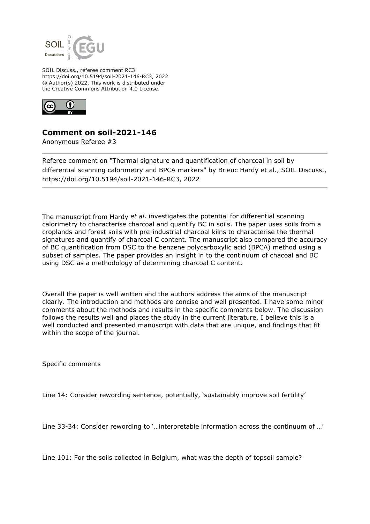

SOIL Discuss., referee comment RC3 https://doi.org/10.5194/soil-2021-146-RC3, 2022 © Author(s) 2022. This work is distributed under the Creative Commons Attribution 4.0 License.



## **Comment on soil-2021-146**

Anonymous Referee #3

Referee comment on "Thermal signature and quantification of charcoal in soil by differential scanning calorimetry and BPCA markers" by Brieuc Hardy et al., SOIL Discuss., https://doi.org/10.5194/soil-2021-146-RC3, 2022

The manuscript from Hardy *et al*. investigates the potential for differential scanning calorimetry to characterise charcoal and quantify BC in soils. The paper uses soils from a croplands and forest soils with pre-industrial charcoal kilns to characterise the thermal signatures and quantify of charcoal C content. The manuscript also compared the accuracy of BC quantification from DSC to the benzene polycarboxylic acid (BPCA) method using a subset of samples. The paper provides an insight in to the continuum of chacoal and BC using DSC as a methodology of determining charcoal C content.

Overall the paper is well written and the authors address the aims of the manuscript clearly. The introduction and methods are concise and well presented. I have some minor comments about the methods and results in the specific comments below. The discussion follows the results well and places the study in the current literature. I believe this is a well conducted and presented manuscript with data that are unique, and findings that fit within the scope of the journal.

Specific comments

Line 14: Consider rewording sentence, potentially, 'sustainably improve soil fertility'

Line 33-34: Consider rewording to '…interpretable information across the continuum of …'

Line 101: For the soils collected in Belgium, what was the depth of topsoil sample?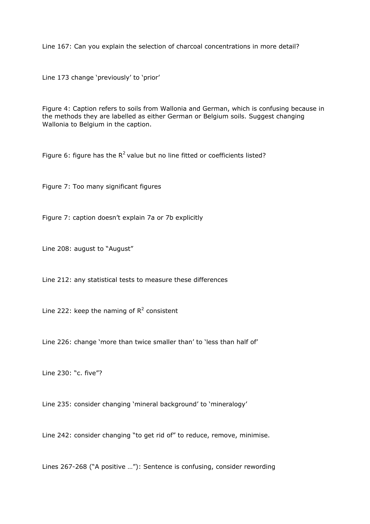Line 167: Can you explain the selection of charcoal concentrations in more detail?

Line 173 change 'previously' to 'prior'

Figure 4: Caption refers to soils from Wallonia and German, which is confusing because in the methods they are labelled as either German or Belgium soils. Suggest changing Wallonia to Belgium in the caption.

Figure 6: figure has the  $R^2$  value but no line fitted or coefficients listed?

Figure 7: Too many significant figures

Figure 7: caption doesn't explain 7a or 7b explicitly

Line 208: august to "August"

Line 212: any statistical tests to measure these differences

Line 222: keep the naming of  $R^2$  consistent

Line 226: change 'more than twice smaller than' to 'less than half of'

Line 230: "c. five"?

Line 235: consider changing 'mineral background' to 'mineralogy'

Line 242: consider changing "to get rid of" to reduce, remove, minimise.

Lines 267-268 ("A positive …"): Sentence is confusing, consider rewording